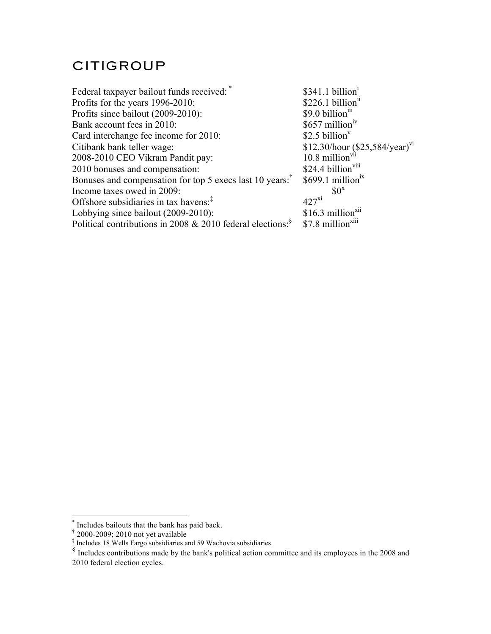## CITIGROUP

| Federal taxpayer bailout funds received:                                                        | \$341.1 billion <sup>1</sup>        |
|-------------------------------------------------------------------------------------------------|-------------------------------------|
| Profits for the years 1996-2010:                                                                | \$226.1 billion <sup>n</sup>        |
| Profits since bailout (2009-2010):                                                              | \$9.0 billion <sup>111</sup>        |
| Bank account fees in 2010:                                                                      | $$657$ million <sup>1V</sup>        |
| Card interchange fee income for 2010:                                                           | \$2.5 billion $v$                   |
| Citibank bank teller wage:                                                                      | \$12.30/hour $(\$25,584/year)^{vi}$ |
| 2008-2010 CEO Vikram Pandit pay:                                                                | $10.8$ million <sup>vii</sup>       |
| 2010 bonuses and compensation:                                                                  | \$24.4 billion <sup>viii</sup>      |
| Bonuses and compensation for top 5 execs last 10 years: <sup>†</sup>                            | $$699.1$ million <sup>1X</sup>      |
| Income taxes owed in 2009:                                                                      | $$0^x$                              |
| Offshore subsidiaries in tax havens: $7$                                                        | $427$ <sup>xi</sup>                 |
| Lobbying since bailout (2009-2010):                                                             | $$16.3$ million <sup>x11</sup>      |
| Political contributions in 2008 & 2010 federal elections: $$7.8 \text{ million}^{\text{XIII}}$$ |                                     |
|                                                                                                 |                                     |

 <sup>\*</sup> Includes bailouts that the bank has paid back.

<sup>†</sup> 2000-2009; 2010 not yet available

<sup>‡</sup> Includes 18 Wells Fargo subsidiaries and 59 Wachovia subsidiaries.

 $\frac{8}{10}$  Includes contributions made by the bank's political action committee and its employees in the 2008 and 2010 federal election cycles.